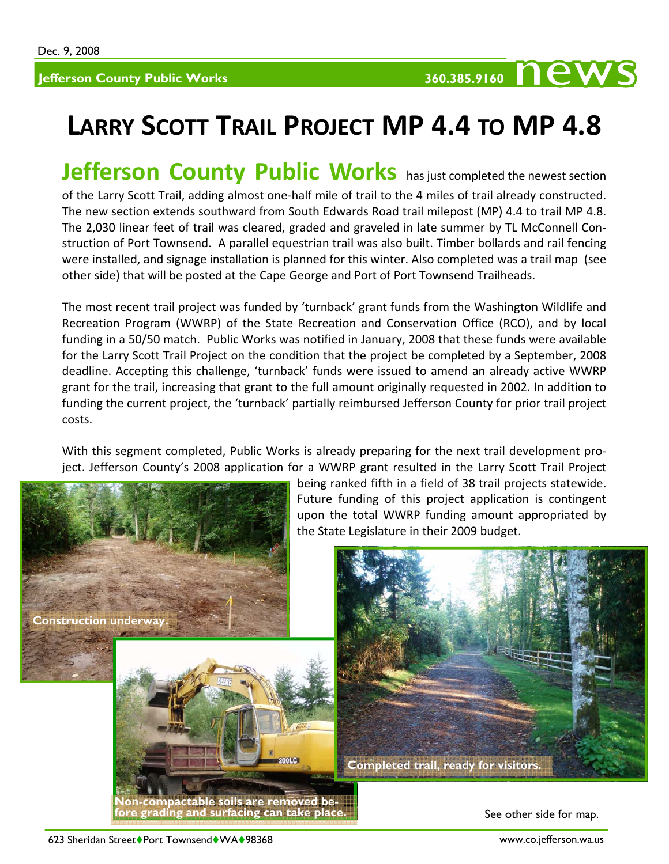## 360.385.9160 **news**

## **LARRY SCOTT TRAIL PROJECT MP 4.4 TO MP 4.8**

**Jefferson County Public Works** has just completed the newest section of the Larry Scott Trail, adding almost one‐half mile of trail to the 4 miles of trail already constructed. The new section extends southward from South Edwards Road trail milepost (MP) 4.4 to trail MP 4.8. The 2,030 linear feet of trail was cleared, graded and graveled in late summer by TL McConnell Con‐ struction of Port Townsend. A parallel equestrian trail was also built. Timber bollards and rail fencing were installed, and signage installation is planned for this winter. Also completed was a trail map (see other side) that will be posted at the Cape George and Port of Port Townsend Trailheads.

The most recent trail project was funded by 'turnback' grant funds from the Washington Wildlife and Recreation Program (WWRP) of the State Recreation and Conservation Office (RCO), and by local funding in a 50/50 match. Public Works was notified in January, 2008 that these funds were available for the Larry Scott Trail Project on the condition that the project be completed by a September, 2008 deadline. Accepting this challenge, 'turnback' funds were issued to amend an already active WWRP grant for the trail, increasing that grant to the full amount originally requested in 2002. In addition to funding the current project, the 'turnback' partially reimbursed Jefferson County for prior trail project costs.

With this segment completed, Public Works is already preparing for the next trail development project. Jefferson County's 2008 application for a WWRP grant resulted in the Larry Scott Trail Project